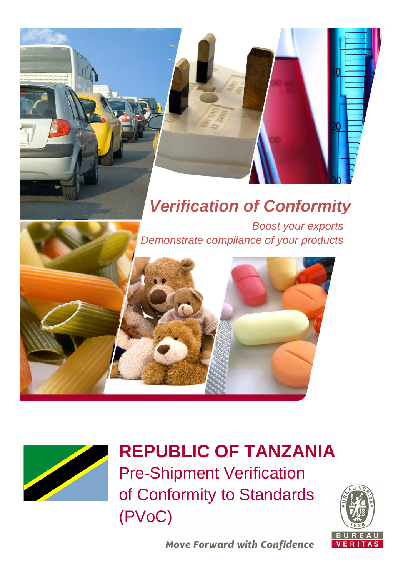# *Verification of Conformity*

*Boost your exports Demonstrate compliance of your products* 





# **REPUBLIC OF TANZANIA** Pre-Shipment Verification

of Conformity to Standards (PVoC)



**Move Forward with Confidence**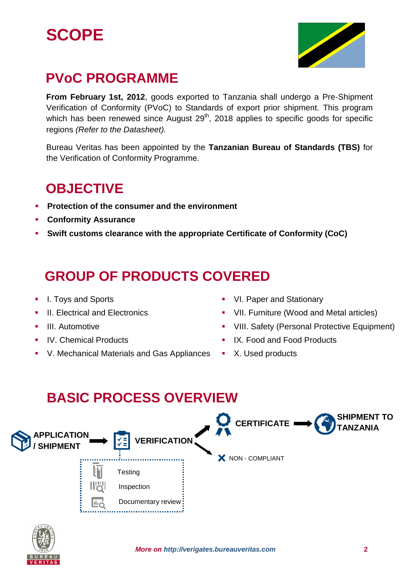



## **PVoC PROGRAMME**

**From February 1st, 2012**, goods exported to Tanzania shall undergo a Pre-Shipment Verification of Conformity (PVoC) to Standards of export prior shipment. This program which has been renewed since August  $29<sup>th</sup>$ , 2018 applies to specific goods for specific regions *(Refer to the Datasheet).*

Bureau Veritas has been appointed by the **Tanzanian Bureau of Standards (TBS)** for the Verification of Conformity Programme.

### **OBJECTIVE**

- **Protection of the consumer and the environment**
- **Conformity Assurance**
- **Swift customs clearance with the appropriate Certificate of Conformity (CoC)**

## **GROUP OF PRODUCTS COVERED**

- I. Toys and Sports
- **II. Electrical and Electronics**
- **III.** Automotive
- IV. Chemical Products
- V. Mechanical Materials and Gas Appliances
- **VI. Paper and Stationary**
- **•** VII. Furniture (Wood and Metal articles)
- **VIII. Safety (Personal Protective Equipment)**
- IX. Food and Food Products
- **X.** Used products

## **BASIC PROCESS OVERVIEW**



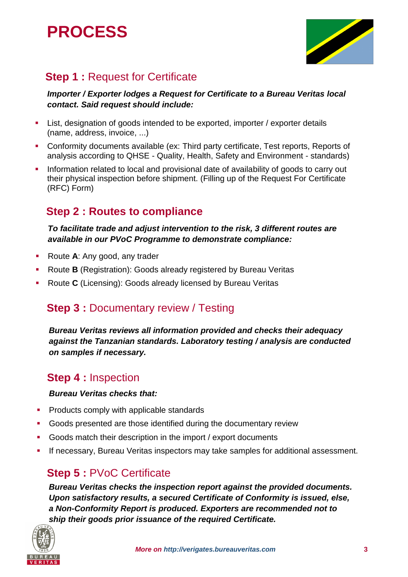## **PROCESS**



### **Step 1: Request for Certificate**

#### *Importer / Exporter lodges a Request for Certificate to a Bureau Veritas local contact. Said request should include:*

- List, designation of goods intended to be exported, importer / exporter details (name, address, invoice, ...)
- Conformity documents available (ex: Third party certificate, Test reports, Reports of analysis according to QHSE - Quality, Health, Safety and Environment - standards)
- Information related to local and provisional date of availability of goods to carry out their physical inspection before shipment. (Filling up of the Request For Certificate (RFC) Form)

### **Step 2 : Routes to compliance**

*To facilitate trade and adjust intervention to the risk, 3 different routes are available in our PVoC Programme to demonstrate compliance:*

- Route **A**: Any good, any trader
- Route **B** (Registration): Goods already registered by Bureau Veritas
- Route **C** (Licensing): Goods already licensed by Bureau Veritas

### **Step 3** : Documentary review / Testing

*Bureau Veritas reviews all information provided and checks their adequacy against the Tanzanian standards. Laboratory testing / analysis are conducted on samples if necessary.*

### **Step 4 :** Inspection

#### *Bureau Veritas checks that:*

- Products comply with applicable standards
- Goods presented are those identified during the documentary review
- Goods match their description in the import / export documents
- If necessary, Bureau Veritas inspectors may take samples for additional assessment.

### **Step 5 : PVoC Certificate**

*Bureau Veritas checks the inspection report against the provided documents. Upon satisfactory results, a secured Certificate of Conformity is issued, else, a Non-Conformity Report is produced. Exporters are recommended not to ship their goods prior issuance of the required Certificate.*